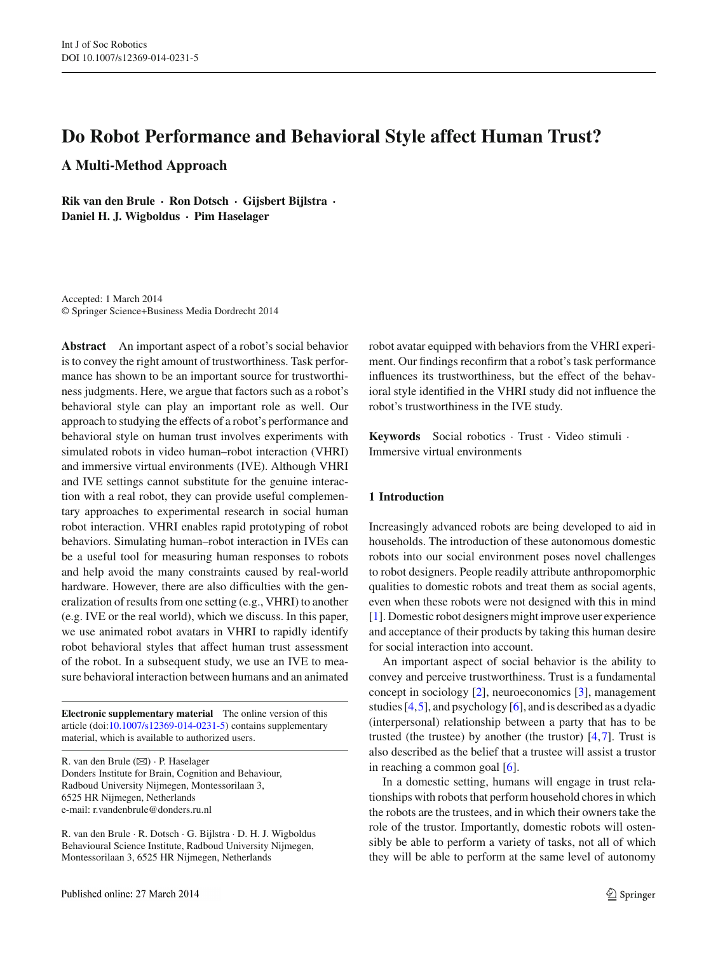# **Do Robot Performance and Behavioral Style affect Human Trust?**

**A Multi-Method Approach**

**Rik van den Brule · Ron Dotsch · Gijsbert Bijlstra · Daniel H. J. Wigboldus · Pim Haselager**

Accepted: 1 March 2014 © Springer Science+Business Media Dordrecht 2014

**Abstract** An important aspect of a robot's social behavior is to convey the right amount of trustworthiness. Task performance has shown to be an important source for trustworthiness judgments. Here, we argue that factors such as a robot's behavioral style can play an important role as well. Our approach to studying the effects of a robot's performance and behavioral style on human trust involves experiments with simulated robots in video human–robot interaction (VHRI) and immersive virtual environments (IVE). Although VHRI and IVE settings cannot substitute for the genuine interaction with a real robot, they can provide useful complementary approaches to experimental research in social human robot interaction. VHRI enables rapid prototyping of robot behaviors. Simulating human–robot interaction in IVEs can be a useful tool for measuring human responses to robots and help avoid the many constraints caused by real-world hardware. However, there are also difficulties with the generalization of results from one setting (e.g., VHRI) to another (e.g. IVE or the real world), which we discuss. In this paper, we use animated robot avatars in VHRI to rapidly identify robot behavioral styles that affect human trust assessment of the robot. In a subsequent study, we use an IVE to measure behavioral interaction between humans and an animated

**Electronic supplementary material** The online version of this article (doi[:10.1007/s12369-014-0231-5\)](http://dx.doi.org/10.1007/s12369-014-0231-5) contains supplementary material, which is available to authorized users.

R. van den Brule  $(\boxtimes) \cdot$  P. Haselager Donders Institute for Brain, Cognition and Behaviour, Radboud University Nijmegen, Montessorilaan 3, 6525 HR Nijmegen, Netherlands e-mail: r.vandenbrule@donders.ru.nl

R. van den Brule · R. Dotsch · G. Bijlstra · D. H. J. Wigboldus Behavioural Science Institute, Radboud University Nijmegen, Montessorilaan 3, 6525 HR Nijmegen, Netherlands

robot avatar equipped with behaviors from the VHRI experiment. Our findings reconfirm that a robot's task performance influences its trustworthiness, but the effect of the behavioral style identified in the VHRI study did not influence the robot's trustworthiness in the IVE study.

**Keywords** Social robotics · Trust · Video stimuli · Immersive virtual environments

## **1 Introduction**

Increasingly advanced robots are being developed to aid in households. The introduction of these autonomous domestic robots into our social environment poses novel challenges to robot designers. People readily attribute anthropomorphic qualities to domestic robots and treat them as social agents, even when these robots were not designed with this in mind [\[1](#page-11-0)]. Domestic robot designers might improve user experience and acceptance of their products by taking this human desire for social interaction into account.

An important aspect of social behavior is the ability to convey and perceive trustworthiness. Trust is a fundamental concept in sociology [\[2](#page-11-1)], neuroeconomics [\[3\]](#page-11-2), management studies [\[4,](#page-11-3)[5\]](#page-11-4), and psychology [\[6\]](#page-11-5), and is described as a dyadic (interpersonal) relationship between a party that has to be trusted (the trustee) by another (the trustor)  $[4,7]$  $[4,7]$  $[4,7]$ . Trust is also described as the belief that a trustee will assist a trustor in reaching a common goal [\[6](#page-11-5)].

In a domestic setting, humans will engage in trust relationships with robots that perform household chores in which the robots are the trustees, and in which their owners take the role of the trustor. Importantly, domestic robots will ostensibly be able to perform a variety of tasks, not all of which they will be able to perform at the same level of autonomy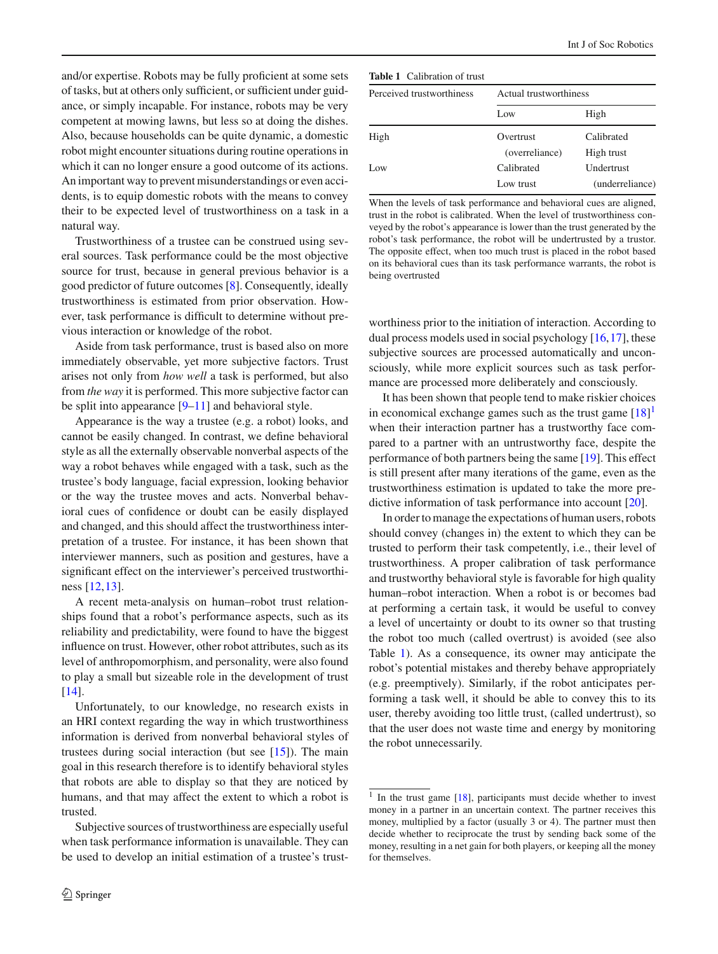and/or expertise. Robots may be fully proficient at some sets of tasks, but at others only sufficient, or sufficient under guidance, or simply incapable. For instance, robots may be very competent at mowing lawns, but less so at doing the dishes. Also, because households can be quite dynamic, a domestic robot might encounter situations during routine operations in which it can no longer ensure a good outcome of its actions. An important way to prevent misunderstandings or even accidents, is to equip domestic robots with the means to convey their to be expected level of trustworthiness on a task in a natural way.

Trustworthiness of a trustee can be construed using several sources. Task performance could be the most objective source for trust, because in general previous behavior is a good predictor of future outcomes [\[8\]](#page-11-7). Consequently, ideally trustworthiness is estimated from prior observation. However, task performance is difficult to determine without previous interaction or knowledge of the robot.

Aside from task performance, trust is based also on more immediately observable, yet more subjective factors. Trust arises not only from *how well* a task is performed, but also from *the way* it is performed. This more subjective factor can be split into appearance  $[9-11]$  $[9-11]$  and behavioral style.

Appearance is the way a trustee (e.g. a robot) looks, and cannot be easily changed. In contrast, we define behavioral style as all the externally observable nonverbal aspects of the way a robot behaves while engaged with a task, such as the trustee's body language, facial expression, looking behavior or the way the trustee moves and acts. Nonverbal behavioral cues of confidence or doubt can be easily displayed and changed, and this should affect the trustworthiness interpretation of a trustee. For instance, it has been shown that interviewer manners, such as position and gestures, have a significant effect on the interviewer's perceived trustworthiness [\[12](#page-11-10)[,13](#page-11-11)].

A recent meta-analysis on human–robot trust relationships found that a robot's performance aspects, such as its reliability and predictability, were found to have the biggest influence on trust. However, other robot attributes, such as its level of anthropomorphism, and personality, were also found to play a small but sizeable role in the development of trust [\[14](#page-11-12)].

Unfortunately, to our knowledge, no research exists in an HRI context regarding the way in which trustworthiness information is derived from nonverbal behavioral styles of trustees during social interaction (but see [\[15](#page-11-13)]). The main goal in this research therefore is to identify behavioral styles that robots are able to display so that they are noticed by humans, and that may affect the extent to which a robot is trusted.

Subjective sources of trustworthiness are especially useful when task performance information is unavailable. They can be used to develop an initial estimation of a trustee's trust-

| <b>Table 1</b> Calibration of trust |  |
|-------------------------------------|--|
|                                     |  |
|                                     |  |
|                                     |  |

<span id="page-1-1"></span>

| Perceived trustworthiness | Actual trustworthiness |                 |  |  |  |  |
|---------------------------|------------------------|-----------------|--|--|--|--|
|                           | Low                    | High            |  |  |  |  |
| High                      | Overtrust              | Calibrated      |  |  |  |  |
|                           | (overreliance)         | High trust      |  |  |  |  |
| Low                       | Calibrated             | Undertrust      |  |  |  |  |
|                           | Low trust              | (underreliance) |  |  |  |  |

When the levels of task performance and behavioral cues are aligned, trust in the robot is calibrated. When the level of trustworthiness conveyed by the robot's appearance is lower than the trust generated by the robot's task performance, the robot will be undertrusted by a trustor. The opposite effect, when too much trust is placed in the robot based on its behavioral cues than its task performance warrants, the robot is being overtrusted

worthiness prior to the initiation of interaction. According to dual process models used in social psychology [\[16](#page-11-14)[,17](#page-11-15)], these subjective sources are processed automatically and unconsciously, while more explicit sources such as task performance are processed more deliberately and consciously.

It has been shown that people tend to make riskier choices in economical exchange games such as the trust game  $[18]$ <sup>[1](#page-1-0)</sup> when their interaction partner has a trustworthy face compared to a partner with an untrustworthy face, despite the performance of both partners being the same [\[19\]](#page-11-17). This effect is still present after many iterations of the game, even as the trustworthiness estimation is updated to take the more predictive information of task performance into account [\[20\]](#page-11-18).

In order to manage the expectations of human users, robots should convey (changes in) the extent to which they can be trusted to perform their task competently, i.e., their level of trustworthiness. A proper calibration of task performance and trustworthy behavioral style is favorable for high quality human–robot interaction. When a robot is or becomes bad at performing a certain task, it would be useful to convey a level of uncertainty or doubt to its owner so that trusting the robot too much (called overtrust) is avoided (see also Table [1\)](#page-1-1). As a consequence, its owner may anticipate the robot's potential mistakes and thereby behave appropriately (e.g. preemptively). Similarly, if the robot anticipates performing a task well, it should be able to convey this to its user, thereby avoiding too little trust, (called undertrust), so that the user does not waste time and energy by monitoring the robot unnecessarily.

<span id="page-1-0"></span> $1$  In the trust game [\[18](#page-11-16)], participants must decide whether to invest money in a partner in an uncertain context. The partner receives this money, multiplied by a factor (usually 3 or 4). The partner must then decide whether to reciprocate the trust by sending back some of the money, resulting in a net gain for both players, or keeping all the money for themselves.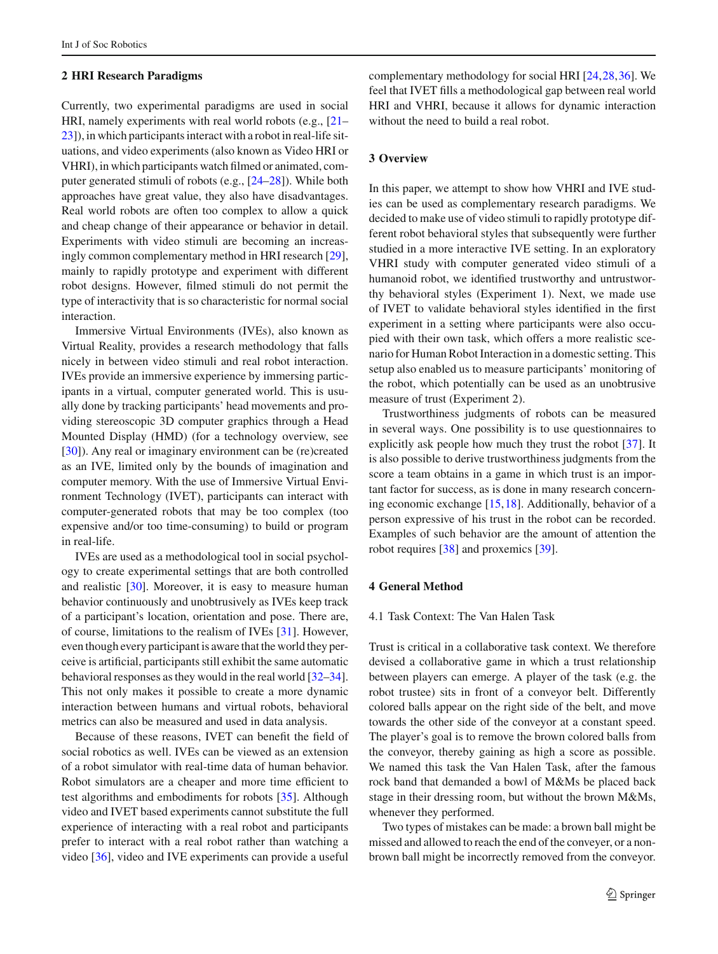## **2 HRI Research Paradigms**

Currently, two experimental paradigms are used in social HRI, namely experiments with real world robots (e.g., [\[21](#page-11-19)– [23\]](#page-11-20)), in which participants interact with a robot in real-life situations, and video experiments (also known as Video HRI or VHRI), in which participants watch filmed or animated, computer generated stimuli of robots (e.g., [\[24](#page-11-21)[–28](#page-11-22)]). While both approaches have great value, they also have disadvantages. Real world robots are often too complex to allow a quick and cheap change of their appearance or behavior in detail. Experiments with video stimuli are becoming an increasingly common complementary method in HRI research [\[29](#page-11-23)], mainly to rapidly prototype and experiment with different robot designs. However, filmed stimuli do not permit the type of interactivity that is so characteristic for normal social interaction.

Immersive Virtual Environments (IVEs), also known as Virtual Reality, provides a research methodology that falls nicely in between video stimuli and real robot interaction. IVEs provide an immersive experience by immersing participants in a virtual, computer generated world. This is usually done by tracking participants' head movements and providing stereoscopic 3D computer graphics through a Head Mounted Display (HMD) (for a technology overview, see [\[30](#page-11-24)]). Any real or imaginary environment can be (re)created as an IVE, limited only by the bounds of imagination and computer memory. With the use of Immersive Virtual Environment Technology (IVET), participants can interact with computer-generated robots that may be too complex (too expensive and/or too time-consuming) to build or program in real-life.

IVEs are used as a methodological tool in social psychology to create experimental settings that are both controlled and realistic [\[30\]](#page-11-24). Moreover, it is easy to measure human behavior continuously and unobtrusively as IVEs keep track of a participant's location, orientation and pose. There are, of course, limitations to the realism of IVEs [\[31\]](#page-11-25). However, even though every participant is aware that the world they perceive is artificial, participants still exhibit the same automatic behavioral responses as they would in the real world [\[32](#page-11-26)[–34](#page-11-27)]. This not only makes it possible to create a more dynamic interaction between humans and virtual robots, behavioral metrics can also be measured and used in data analysis.

Because of these reasons, IVET can benefit the field of social robotics as well. IVEs can be viewed as an extension of a robot simulator with real-time data of human behavior. Robot simulators are a cheaper and more time efficient to test algorithms and embodiments for robots [\[35\]](#page-11-28). Although video and IVET based experiments cannot substitute the full experience of interacting with a real robot and participants prefer to interact with a real robot rather than watching a video [\[36\]](#page-11-29), video and IVE experiments can provide a useful complementary methodology for social HRI [\[24](#page-11-21)[,28](#page-11-22)[,36](#page-11-29)]. We feel that IVET fills a methodological gap between real world HRI and VHRI, because it allows for dynamic interaction without the need to build a real robot.

## **3 Overview**

In this paper, we attempt to show how VHRI and IVE studies can be used as complementary research paradigms. We decided to make use of video stimuli to rapidly prototype different robot behavioral styles that subsequently were further studied in a more interactive IVE setting. In an exploratory VHRI study with computer generated video stimuli of a humanoid robot, we identified trustworthy and untrustworthy behavioral styles (Experiment 1). Next, we made use of IVET to validate behavioral styles identified in the first experiment in a setting where participants were also occupied with their own task, which offers a more realistic scenario for Human Robot Interaction in a domestic setting. This setup also enabled us to measure participants' monitoring of the robot, which potentially can be used as an unobtrusive measure of trust (Experiment 2).

Trustworthiness judgments of robots can be measured in several ways. One possibility is to use questionnaires to explicitly ask people how much they trust the robot [\[37\]](#page-11-30). It is also possible to derive trustworthiness judgments from the score a team obtains in a game in which trust is an important factor for success, as is done in many research concerning economic exchange [\[15](#page-11-13)[,18\]](#page-11-16). Additionally, behavior of a person expressive of his trust in the robot can be recorded. Examples of such behavior are the amount of attention the robot requires [\[38\]](#page-11-31) and proxemics [\[39](#page-11-32)].

## **4 General Method**

## 4.1 Task Context: The Van Halen Task

Trust is critical in a collaborative task context. We therefore devised a collaborative game in which a trust relationship between players can emerge. A player of the task (e.g. the robot trustee) sits in front of a conveyor belt. Differently colored balls appear on the right side of the belt, and move towards the other side of the conveyor at a constant speed. The player's goal is to remove the brown colored balls from the conveyor, thereby gaining as high a score as possible. We named this task the Van Halen Task, after the famous rock band that demanded a bowl of M&Ms be placed back stage in their dressing room, but without the brown M&Ms, whenever they performed.

Two types of mistakes can be made: a brown ball might be missed and allowed to reach the end of the conveyer, or a nonbrown ball might be incorrectly removed from the conveyor.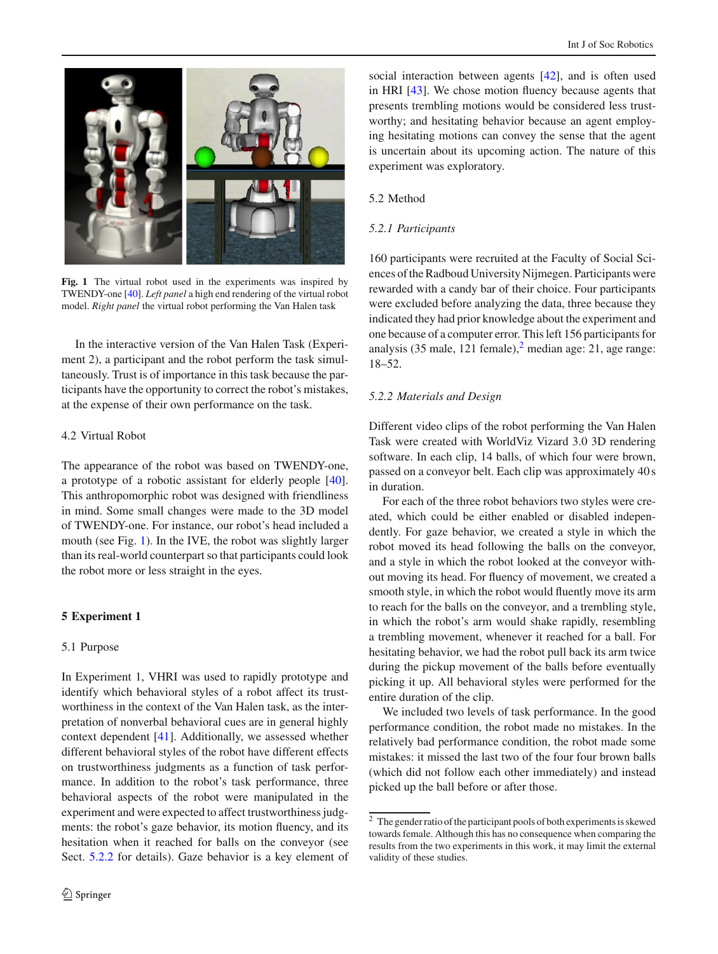

**Fig. 1** The virtual robot used in the experiments was inspired by TWENDY-one [\[40](#page-11-33)]. *Left panel* a high end rendering of the virtual robot model. *Right panel* the virtual robot performing the Van Halen task

<span id="page-3-0"></span>In the interactive version of the Van Halen Task (Experiment 2), a participant and the robot perform the task simultaneously. Trust is of importance in this task because the participants have the opportunity to correct the robot's mistakes, at the expense of their own performance on the task.

# 4.2 Virtual Robot

The appearance of the robot was based on TWENDY-one, a prototype of a robotic assistant for elderly people [\[40](#page-11-33)]. This anthropomorphic robot was designed with friendliness in mind. Some small changes were made to the 3D model of TWENDY-one. For instance, our robot's head included a mouth (see Fig. [1\)](#page-3-0). In the IVE, the robot was slightly larger than its real-world counterpart so that participants could look the robot more or less straight in the eyes.

## **5 Experiment 1**

#### 5.1 Purpose

In Experiment 1, VHRI was used to rapidly prototype and identify which behavioral styles of a robot affect its trustworthiness in the context of the Van Halen task, as the interpretation of nonverbal behavioral cues are in general highly context dependent [\[41\]](#page-11-34). Additionally, we assessed whether different behavioral styles of the robot have different effects on trustworthiness judgments as a function of task performance. In addition to the robot's task performance, three behavioral aspects of the robot were manipulated in the experiment and were expected to affect trustworthiness judgments: the robot's gaze behavior, its motion fluency, and its hesitation when it reached for balls on the conveyor (see Sect. [5.2.2](#page-3-1) for details). Gaze behavior is a key element of social interaction between agents [\[42](#page-12-0)], and is often used in HRI [\[43\]](#page-12-1). We chose motion fluency because agents that presents trembling motions would be considered less trustworthy; and hesitating behavior because an agent employing hesitating motions can convey the sense that the agent is uncertain about its upcoming action. The nature of this experiment was exploratory.

# 5.2 Method

# *5.2.1 Participants*

160 participants were recruited at the Faculty of Social Sciences of the Radboud University Nijmegen. Participants were rewarded with a candy bar of their choice. Four participants were excluded before analyzing the data, three because they indicated they had prior knowledge about the experiment and one because of a computer error. This left 156 participants for analysis (35 male, 121 female), $^2$  median age: 21, age range: 18–52.

#### <span id="page-3-1"></span>*5.2.2 Materials and Design*

Different video clips of the robot performing the Van Halen Task were created with WorldViz Vizard 3.0 3D rendering software. In each clip, 14 balls, of which four were brown, passed on a conveyor belt. Each clip was approximately 40 s in duration.

For each of the three robot behaviors two styles were created, which could be either enabled or disabled independently. For gaze behavior, we created a style in which the robot moved its head following the balls on the conveyor, and a style in which the robot looked at the conveyor without moving its head. For fluency of movement, we created a smooth style, in which the robot would fluently move its arm to reach for the balls on the conveyor, and a trembling style, in which the robot's arm would shake rapidly, resembling a trembling movement, whenever it reached for a ball. For hesitating behavior, we had the robot pull back its arm twice during the pickup movement of the balls before eventually picking it up. All behavioral styles were performed for the entire duration of the clip.

We included two levels of task performance. In the good performance condition, the robot made no mistakes. In the relatively bad performance condition, the robot made some mistakes: it missed the last two of the four four brown balls (which did not follow each other immediately) and instead picked up the ball before or after those.

<span id="page-3-2"></span><sup>2</sup> The gender ratio of the participant pools of both experiments is skewed towards female. Although this has no consequence when comparing the results from the two experiments in this work, it may limit the external validity of these studies.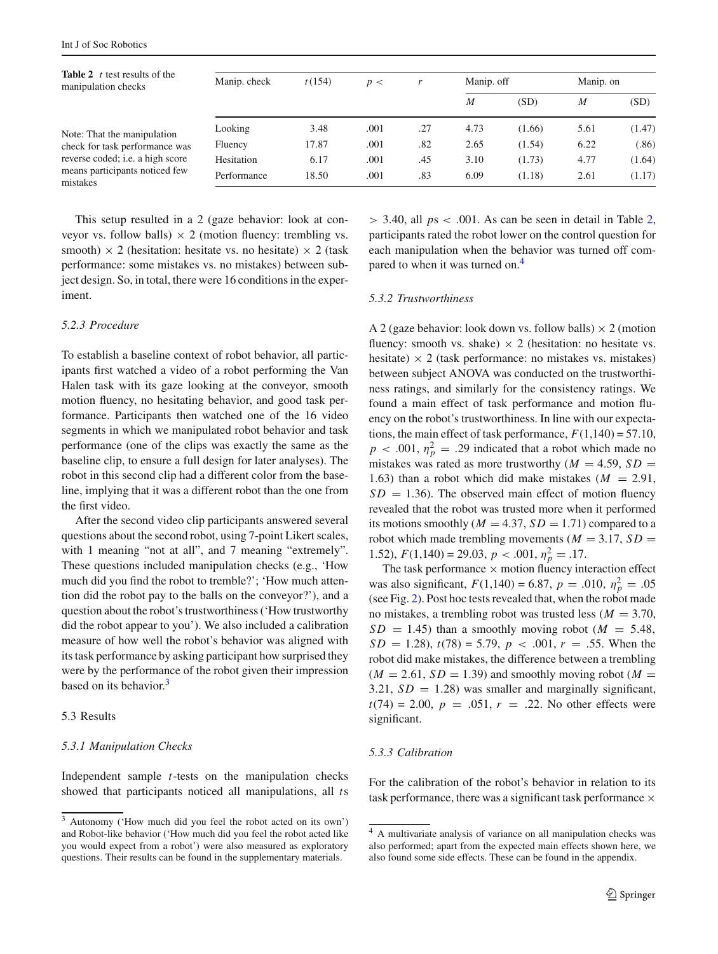<span id="page-4-1"></span>

| <b>Table 2</b> $t$ test results of the<br>manipulation checks                                                                                          | Manip. check | t(154) | p <  | r   | Manip. off       |        | Manip. on |        |
|--------------------------------------------------------------------------------------------------------------------------------------------------------|--------------|--------|------|-----|------------------|--------|-----------|--------|
|                                                                                                                                                        |              |        |      |     | $\boldsymbol{M}$ | (SD)   | M         | (SD)   |
| Note: That the manipulation<br>check for task performance was<br>reverse coded; <i>i.e.</i> a high score<br>means participants noticed few<br>mistakes | Looking      | 3.48   | .001 | .27 | 4.73             | (1.66) | 5.61      | (1.47) |
|                                                                                                                                                        | Fluency      | 17.87  | .001 | .82 | 2.65             | (1.54) | 6.22      | (.86)  |
|                                                                                                                                                        | Hesitation   | 6.17   | .001 | .45 | 3.10             | (1.73) | 4.77      | (1.64) |
|                                                                                                                                                        | Performance  | 18.50  | .001 | .83 | 6.09             | (1.18) | 2.61      | (1.17) |

This setup resulted in a 2 (gaze behavior: look at conveyor vs. follow balls)  $\times$  2 (motion fluency: trembling vs. smooth)  $\times$  2 (hesitation: hesitate vs. no hesitate)  $\times$  2 (task performance: some mistakes vs. no mistakes) between subject design. So, in total, there were 16 conditions in the experiment.

# *5.2.3 Procedure*

To establish a baseline context of robot behavior, all participants first watched a video of a robot performing the Van Halen task with its gaze looking at the conveyor, smooth motion fluency, no hesitating behavior, and good task performance. Participants then watched one of the 16 video segments in which we manipulated robot behavior and task performance (one of the clips was exactly the same as the baseline clip, to ensure a full design for later analyses). The robot in this second clip had a different color from the baseline, implying that it was a different robot than the one from the first video.

After the second video clip participants answered several questions about the second robot, using 7-point Likert scales, with 1 meaning "not at all", and 7 meaning "extremely". These questions included manipulation checks (e.g., 'How much did you find the robot to tremble?'; 'How much attention did the robot pay to the balls on the conveyor?'), and a question about the robot's trustworthiness ('How trustworthy did the robot appear to you'). We also included a calibration measure of how well the robot's behavior was aligned with its task performance by asking participant how surprised they were by the performance of the robot given their impression based on its behavior. $3$ 

# 5.3 Results

## *5.3.1 Manipulation Checks*

Independent sample *t*-tests on the manipulation checks showed that participants noticed all manipulations, all *t*s

 $>$  3.40, all  $ps < .001$ . As can be seen in detail in Table [2,](#page-4-1) participants rated the robot lower on the control question for each manipulation when the behavior was turned off compared to when it was turned on.<sup>4</sup>

#### *5.3.2 Trustworthiness*

A 2 (gaze behavior: look down vs. follow balls)  $\times$  2 (motion fluency: smooth vs. shake)  $\times$  2 (hesitation: no hesitate vs. hesitate)  $\times$  2 (task performance: no mistakes vs. mistakes) between subject ANOVA was conducted on the trustworthiness ratings, and similarly for the consistency ratings. We found a main effect of task performance and motion fluency on the robot's trustworthiness. In line with our expectations, the main effect of task performance,  $F(1,140) = 57.10$ ,  $p$  < .001,  $\eta_p^2$  = .29 indicated that a robot which made no mistakes was rated as more trustworthy  $(M = 4.59, SD =$ 1.63) than a robot which did make mistakes  $(M = 2.91,$  $SD = 1.36$ . The observed main effect of motion fluency revealed that the robot was trusted more when it performed its motions smoothly ( $M = 4.37$ ,  $SD = 1.71$ ) compared to a robot which made trembling movements ( $M = 3.17$ ,  $SD =$ 1.52),  $F(1,140) = 29.03, p < .001, \eta_p^2 = .17.$ 

The task performance  $\times$  motion fluency interaction effect was also significant,  $F(1,140) = 6.87$ ,  $p = .010$ ,  $\eta_p^2 = .05$ (see Fig. [2\)](#page-5-0). Post hoc tests revealed that, when the robot made no mistakes, a trembling robot was trusted less ( $M = 3.70$ ,  $SD = 1.45$ ) than a smoothly moving robot ( $M = 5.48$ ,  $SD = 1.28$ ,  $t(78) = 5.79$ ,  $p < .001$ ,  $r = .55$ . When the robot did make mistakes, the difference between a trembling  $(M = 2.61, SD = 1.39)$  and smoothly moving robot  $(M = 1.39)$ 3.21,  $SD = 1.28$ ) was smaller and marginally significant,  $t(74) = 2.00, p = .051, r = .22$ . No other effects were significant.

## *5.3.3 Calibration*

For the calibration of the robot's behavior in relation to its task performance, there was a significant task performance  $\times$ 

<span id="page-4-0"></span><sup>3</sup> Autonomy ('How much did you feel the robot acted on its own') and Robot-like behavior ('How much did you feel the robot acted like you would expect from a robot') were also measured as exploratory questions. Their results can be found in the supplementary materials.

<span id="page-4-2"></span><sup>4</sup> A multivariate analysis of variance on all manipulation checks was also performed; apart from the expected main effects shown here, we also found some side effects. These can be found in the appendix.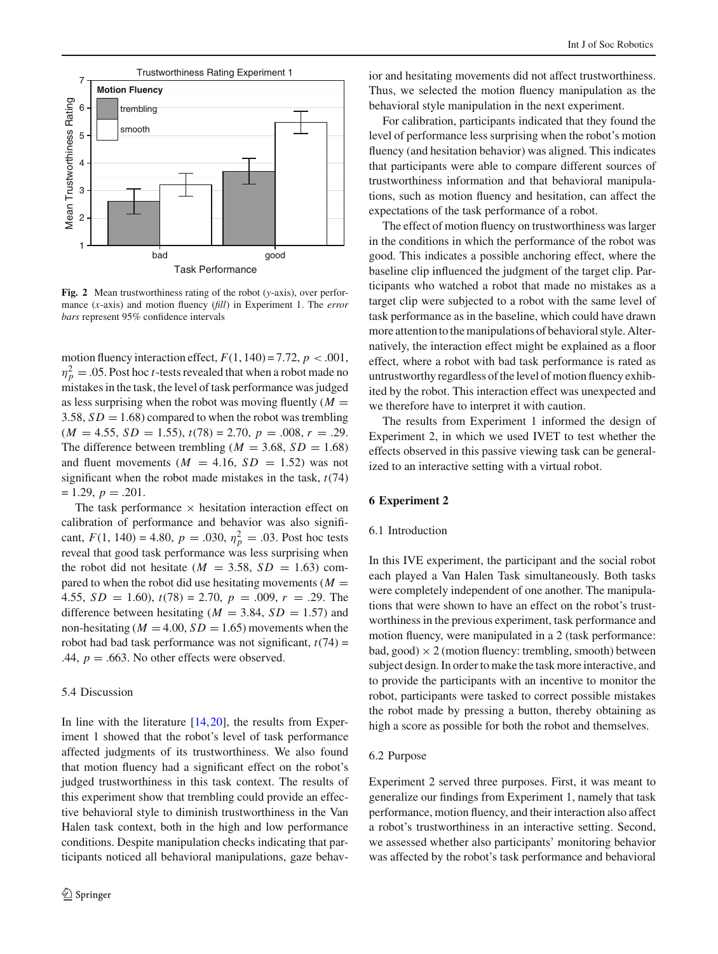

<span id="page-5-0"></span>**Fig. 2** Mean trustworthiness rating of the robot (*y*-axis), over performance (*x*-axis) and motion fluency (*fill*) in Experiment 1. The *error bars* represent 95% confidence intervals

motion fluency interaction effect,  $F(1, 140) = 7.72$ ,  $p < .001$ ,  $\eta_p^2 = 0.05$ . Post hoc *t*-tests revealed that when a robot made no mistakes in the task, the level of task performance was judged as less surprising when the robot was moving fluently  $(M =$ 3.58,  $SD = 1.68$ ) compared to when the robot was trembling  $(M = 4.55, SD = 1.55), t(78) = 2.70, p = .008, r = .29.$ The difference between trembling ( $M = 3.68$ ,  $SD = 1.68$ ) and fluent movements  $(M = 4.16, SD = 1.52)$  was not significant when the robot made mistakes in the task, *t*(74)  $= 1.29, p = .201.$ 

The task performance  $\times$  hesitation interaction effect on calibration of performance and behavior was also significant,  $F(1, 140) = 4.80$ ,  $p = .030$ ,  $\eta_p^2 = .03$ . Post hoc tests reveal that good task performance was less surprising when the robot did not hesitate  $(M = 3.58, SD = 1.63)$  compared to when the robot did use hesitating movements ( $M =$ 4.55,  $SD = 1.60$ ,  $t(78) = 2.70$ ,  $p = .009$ ,  $r = .29$ . The difference between hesitating ( $M = 3.84$ ,  $SD = 1.57$ ) and non-hesitating ( $M = 4.00$ ,  $SD = 1.65$ ) movements when the robot had bad task performance was not significant,  $t(74)$  = .44,  $p = .663$ . No other effects were observed.

## 5.4 Discussion

In line with the literature  $[14,20]$  $[14,20]$  $[14,20]$ , the results from Experiment 1 showed that the robot's level of task performance affected judgments of its trustworthiness. We also found that motion fluency had a significant effect on the robot's judged trustworthiness in this task context. The results of this experiment show that trembling could provide an effective behavioral style to diminish trustworthiness in the Van Halen task context, both in the high and low performance conditions. Despite manipulation checks indicating that participants noticed all behavioral manipulations, gaze behavior and hesitating movements did not affect trustworthiness. Thus, we selected the motion fluency manipulation as the behavioral style manipulation in the next experiment.

For calibration, participants indicated that they found the level of performance less surprising when the robot's motion fluency (and hesitation behavior) was aligned. This indicates that participants were able to compare different sources of trustworthiness information and that behavioral manipulations, such as motion fluency and hesitation, can affect the expectations of the task performance of a robot.

The effect of motion fluency on trustworthiness was larger in the conditions in which the performance of the robot was good. This indicates a possible anchoring effect, where the baseline clip influenced the judgment of the target clip. Participants who watched a robot that made no mistakes as a target clip were subjected to a robot with the same level of task performance as in the baseline, which could have drawn more attention to the manipulations of behavioral style. Alternatively, the interaction effect might be explained as a floor effect, where a robot with bad task performance is rated as untrustworthy regardless of the level of motion fluency exhibited by the robot. This interaction effect was unexpected and we therefore have to interpret it with caution.

The results from Experiment 1 informed the design of Experiment 2, in which we used IVET to test whether the effects observed in this passive viewing task can be generalized to an interactive setting with a virtual robot.

# **6 Experiment 2**

#### 6.1 Introduction

In this IVE experiment, the participant and the social robot each played a Van Halen Task simultaneously. Both tasks were completely independent of one another. The manipulations that were shown to have an effect on the robot's trustworthiness in the previous experiment, task performance and motion fluency, were manipulated in a 2 (task performance: bad, good)  $\times$  2 (motion fluency: trembling, smooth) between subject design. In order to make the task more interactive, and to provide the participants with an incentive to monitor the robot, participants were tasked to correct possible mistakes the robot made by pressing a button, thereby obtaining as high a score as possible for both the robot and themselves.

## 6.2 Purpose

Experiment 2 served three purposes. First, it was meant to generalize our findings from Experiment 1, namely that task performance, motion fluency, and their interaction also affect a robot's trustworthiness in an interactive setting. Second, we assessed whether also participants' monitoring behavior was affected by the robot's task performance and behavioral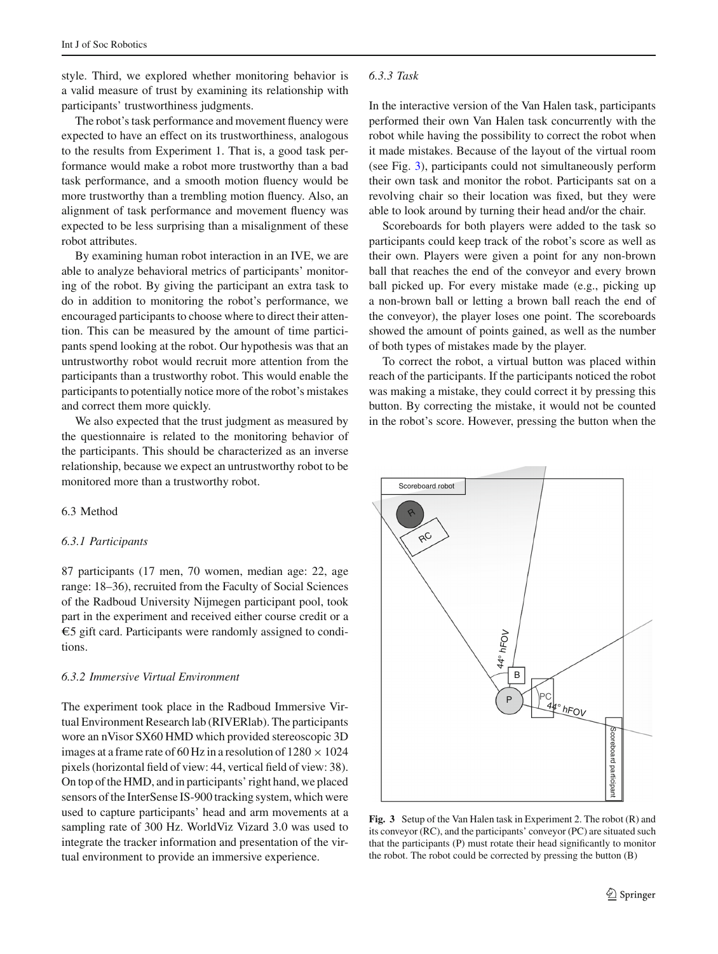style. Third, we explored whether monitoring behavior is a valid measure of trust by examining its relationship with participants' trustworthiness judgments.

The robot's task performance and movement fluency were expected to have an effect on its trustworthiness, analogous to the results from Experiment 1. That is, a good task performance would make a robot more trustworthy than a bad task performance, and a smooth motion fluency would be more trustworthy than a trembling motion fluency. Also, an alignment of task performance and movement fluency was expected to be less surprising than a misalignment of these robot attributes.

By examining human robot interaction in an IVE, we are able to analyze behavioral metrics of participants' monitoring of the robot. By giving the participant an extra task to do in addition to monitoring the robot's performance, we encouraged participants to choose where to direct their attention. This can be measured by the amount of time participants spend looking at the robot. Our hypothesis was that an untrustworthy robot would recruit more attention from the participants than a trustworthy robot. This would enable the participants to potentially notice more of the robot's mistakes and correct them more quickly.

We also expected that the trust judgment as measured by the questionnaire is related to the monitoring behavior of the participants. This should be characterized as an inverse relationship, because we expect an untrustworthy robot to be monitored more than a trustworthy robot.

# 6.3 Method

## *6.3.1 Participants*

87 participants (17 men, 70 women, median age: 22, age range: 18–36), recruited from the Faculty of Social Sciences of the Radboud University Nijmegen participant pool, took part in the experiment and received either course credit or a  $\epsilon$ 5 gift card. Participants were randomly assigned to conditions.

# *6.3.2 Immersive Virtual Environment*

The experiment took place in the Radboud Immersive Virtual Environment Research lab (RIVERlab). The participants wore an nVisor SX60 HMD which provided stereoscopic 3D images at a frame rate of 60 Hz in a resolution of  $1280 \times 1024$ pixels (horizontal field of view: 44, vertical field of view: 38). On top of the HMD, and in participants' right hand, we placed sensors of the InterSense IS-900 tracking system, which were used to capture participants' head and arm movements at a sampling rate of 300 Hz. WorldViz Vizard 3.0 was used to integrate the tracker information and presentation of the virtual environment to provide an immersive experience.

#### *6.3.3 Task*

In the interactive version of the Van Halen task, participants performed their own Van Halen task concurrently with the robot while having the possibility to correct the robot when it made mistakes. Because of the layout of the virtual room (see Fig. [3\)](#page-6-0), participants could not simultaneously perform their own task and monitor the robot. Participants sat on a revolving chair so their location was fixed, but they were able to look around by turning their head and/or the chair.

Scoreboards for both players were added to the task so participants could keep track of the robot's score as well as their own. Players were given a point for any non-brown ball that reaches the end of the conveyor and every brown ball picked up. For every mistake made (e.g., picking up a non-brown ball or letting a brown ball reach the end of the conveyor), the player loses one point. The scoreboards showed the amount of points gained, as well as the number of both types of mistakes made by the player.

To correct the robot, a virtual button was placed within reach of the participants. If the participants noticed the robot was making a mistake, they could correct it by pressing this button. By correcting the mistake, it would not be counted in the robot's score. However, pressing the button when the



<span id="page-6-0"></span>**Fig. 3** Setup of the Van Halen task in Experiment 2. The robot (R) and its conveyor (RC), and the participants' conveyor (PC) are situated such that the participants (P) must rotate their head significantly to monitor the robot. The robot could be corrected by pressing the button (B)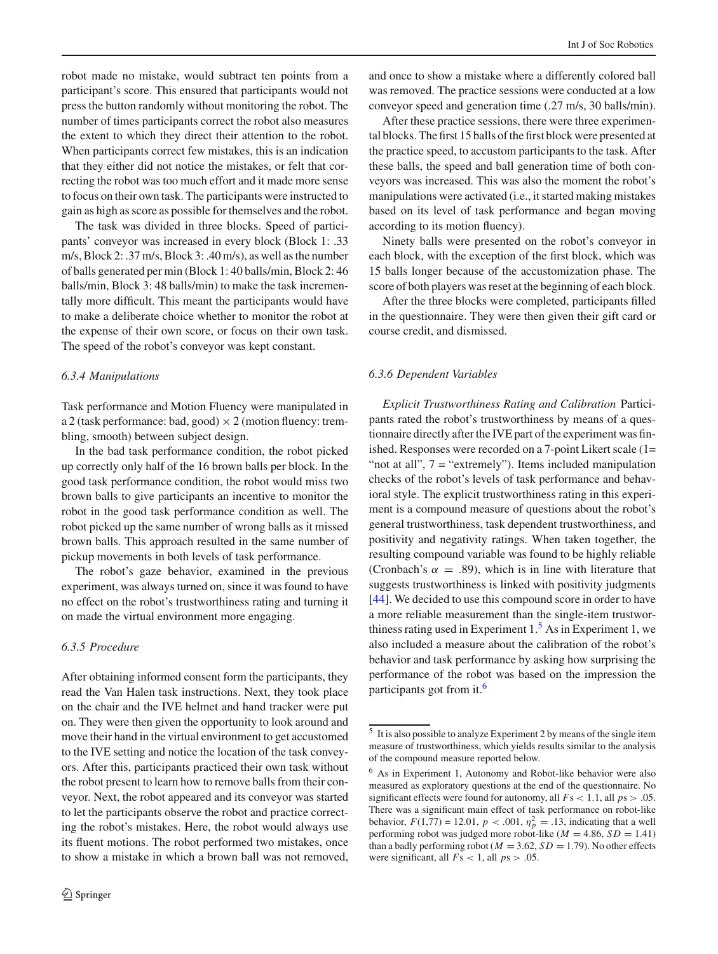robot made no mistake, would subtract ten points from a participant's score. This ensured that participants would not press the button randomly without monitoring the robot. The number of times participants correct the robot also measures the extent to which they direct their attention to the robot. When participants correct few mistakes, this is an indication that they either did not notice the mistakes, or felt that correcting the robot was too much effort and it made more sense to focus on their own task. The participants were instructed to gain as high as score as possible for themselves and the robot.

The task was divided in three blocks. Speed of participants' conveyor was increased in every block (Block 1: .33 m/s, Block 2: .37 m/s, Block 3: .40 m/s), as well as the number of balls generated per min (Block 1: 40 balls/min, Block 2: 46 balls/min, Block 3: 48 balls/min) to make the task incrementally more difficult. This meant the participants would have to make a deliberate choice whether to monitor the robot at the expense of their own score, or focus on their own task. The speed of the robot's conveyor was kept constant.

## *6.3.4 Manipulations*

Task performance and Motion Fluency were manipulated in a 2 (task performance: bad, good)  $\times$  2 (motion fluency: trembling, smooth) between subject design.

In the bad task performance condition, the robot picked up correctly only half of the 16 brown balls per block. In the good task performance condition, the robot would miss two brown balls to give participants an incentive to monitor the robot in the good task performance condition as well. The robot picked up the same number of wrong balls as it missed brown balls. This approach resulted in the same number of pickup movements in both levels of task performance.

The robot's gaze behavior, examined in the previous experiment, was always turned on, since it was found to have no effect on the robot's trustworthiness rating and turning it on made the virtual environment more engaging.

# *6.3.5 Procedure*

After obtaining informed consent form the participants, they read the Van Halen task instructions. Next, they took place on the chair and the IVE helmet and hand tracker were put on. They were then given the opportunity to look around and move their hand in the virtual environment to get accustomed to the IVE setting and notice the location of the task conveyors. After this, participants practiced their own task without the robot present to learn how to remove balls from their conveyor. Next, the robot appeared and its conveyor was started to let the participants observe the robot and practice correcting the robot's mistakes. Here, the robot would always use its fluent motions. The robot performed two mistakes, once to show a mistake in which a brown ball was not removed,

and once to show a mistake where a differently colored ball was removed. The practice sessions were conducted at a low conveyor speed and generation time (.27 m/s, 30 balls/min).

After these practice sessions, there were three experimental blocks. The first 15 balls of the first block were presented at the practice speed, to accustom participants to the task. After these balls, the speed and ball generation time of both conveyors was increased. This was also the moment the robot's manipulations were activated (i.e., it started making mistakes based on its level of task performance and began moving according to its motion fluency).

Ninety balls were presented on the robot's conveyor in each block, with the exception of the first block, which was 15 balls longer because of the accustomization phase. The score of both players was reset at the beginning of each block.

After the three blocks were completed, participants filled in the questionnaire. They were then given their gift card or course credit, and dismissed.

## *6.3.6 Dependent Variables*

*Explicit Trustworthiness Rating and Calibration* Participants rated the robot's trustworthiness by means of a questionnaire directly after the IVE part of the experiment was finished. Responses were recorded on a 7-point Likert scale (1= "not at all", 7 = "extremely"). Items included manipulation checks of the robot's levels of task performance and behavioral style. The explicit trustworthiness rating in this experiment is a compound measure of questions about the robot's general trustworthiness, task dependent trustworthiness, and positivity and negativity ratings. When taken together, the resulting compound variable was found to be highly reliable (Cronbach's  $\alpha = .89$ ), which is in line with literature that suggests trustworthiness is linked with positivity judgments [\[44](#page-12-2)]. We decided to use this compound score in order to have a more reliable measurement than the single-item trustworthiness rating used in Experiment  $1<sup>5</sup>$  $1<sup>5</sup>$  $1<sup>5</sup>$  As in Experiment 1, we also included a measure about the calibration of the robot's behavior and task performance by asking how surprising the performance of the robot was based on the impression the participants got from it.<sup>[6](#page-7-1)</sup>

<span id="page-7-0"></span><sup>5</sup> It is also possible to analyze Experiment 2 by means of the single item measure of trustworthiness, which yields results similar to the analysis of the compound measure reported below.

<span id="page-7-1"></span><sup>6</sup> As in Experiment 1, Autonomy and Robot-like behavior were also measured as exploratory questions at the end of the questionnaire. No significant effects were found for autonomy, all *F*s < 1.1, all *p*s > .05. There was a significant main effect of task performance on robot-like behavior,  $F(1,77) = 12.01$ ,  $p < .001$ ,  $\eta_p^2 = .13$ , indicating that a well performing robot was judged more robot-like ( $M = 4.86$ ,  $SD = 1.41$ ) than a badly performing robot ( $M = 3.62$ ,  $SD = 1.79$ ). No other effects were significant, all  $Fs < 1$ , all  $ps > .05$ .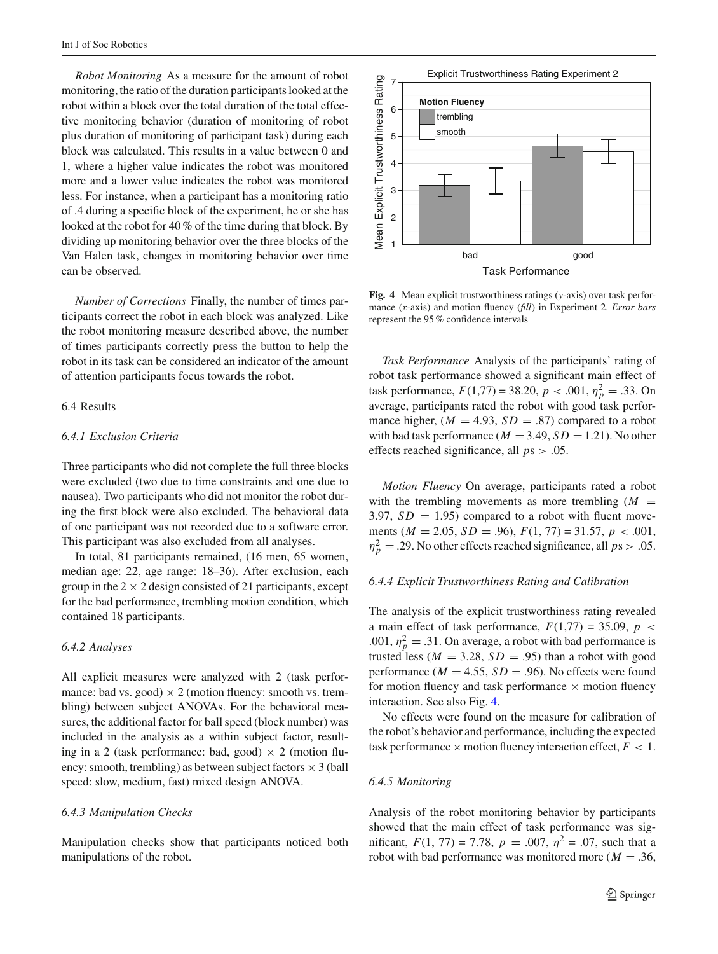*Robot Monitoring* As a measure for the amount of robot monitoring, the ratio of the duration participants looked at the robot within a block over the total duration of the total effective monitoring behavior (duration of monitoring of robot plus duration of monitoring of participant task) during each block was calculated. This results in a value between 0 and 1, where a higher value indicates the robot was monitored more and a lower value indicates the robot was monitored less. For instance, when a participant has a monitoring ratio of .4 during a specific block of the experiment, he or she has looked at the robot for 40% of the time during that block. By dividing up monitoring behavior over the three blocks of the Van Halen task, changes in monitoring behavior over time can be observed.

*Number of Corrections* Finally, the number of times participants correct the robot in each block was analyzed. Like the robot monitoring measure described above, the number of times participants correctly press the button to help the robot in its task can be considered an indicator of the amount of attention participants focus towards the robot.

## 6.4 Results

# *6.4.1 Exclusion Criteria*

Three participants who did not complete the full three blocks were excluded (two due to time constraints and one due to nausea). Two participants who did not monitor the robot during the first block were also excluded. The behavioral data of one participant was not recorded due to a software error. This participant was also excluded from all analyses.

In total, 81 participants remained, (16 men, 65 women, median age: 22, age range: 18–36). After exclusion, each group in the  $2 \times 2$  design consisted of 21 participants, except for the bad performance, trembling motion condition, which contained 18 participants.

## *6.4.2 Analyses*

All explicit measures were analyzed with 2 (task performance: bad vs. good)  $\times$  2 (motion fluency: smooth vs. trembling) between subject ANOVAs. For the behavioral measures, the additional factor for ball speed (block number) was included in the analysis as a within subject factor, resulting in a 2 (task performance: bad, good)  $\times$  2 (motion fluency: smooth, trembling) as between subject factors  $\times$  3 (ball speed: slow, medium, fast) mixed design ANOVA.

## *6.4.3 Manipulation Checks*

Manipulation checks show that participants noticed both manipulations of the robot.



<span id="page-8-0"></span>**Fig. 4** Mean explicit trustworthiness ratings (*y*-axis) over task performance (*x*-axis) and motion fluency (*fill*) in Experiment 2. *Error bars* represent the 95% confidence intervals

*Task Performance* Analysis of the participants' rating of robot task performance showed a significant main effect of task performance,  $F(1,77) = 38.20, p < .001, \eta_p^2 = .33$ . On average, participants rated the robot with good task performance higher,  $(M = 4.93, SD = .87)$  compared to a robot with bad task performance ( $M = 3.49$ ,  $SD = 1.21$ ). No other effects reached significance, all *p*s > .05.

*Motion Fluency* On average, participants rated a robot with the trembling movements as more trembling  $(M =$ 3.97,  $SD = 1.95$ ) compared to a robot with fluent movements (*M* = 2.05, *SD* = .96), *F*(1, 77) = 31.57, *p* < .001,  $\eta_p^2 = .29$ . No other effects reached significance, all *ps* > .05.

### *6.4.4 Explicit Trustworthiness Rating and Calibration*

The analysis of the explicit trustworthiness rating revealed a main effect of task performance,  $F(1,77) = 35.09$ ,  $p <$ .001,  $\eta_p^2 = 0.31$ . On average, a robot with bad performance is trusted less ( $M = 3.28$ ,  $SD = .95$ ) than a robot with good performance ( $M = 4.55$ ,  $SD = .96$ ). No effects were found for motion fluency and task performance  $\times$  motion fluency interaction. See also Fig. [4.](#page-8-0)

No effects were found on the measure for calibration of the robot's behavior and performance, including the expected task performance  $\times$  motion fluency interaction effect,  $F < 1$ .

# *6.4.5 Monitoring*

Analysis of the robot monitoring behavior by participants showed that the main effect of task performance was significant,  $F(1, 77) = 7.78$ ,  $p = .007$ ,  $\eta^2 = .07$ , such that a robot with bad performance was monitored more ( $M = .36$ ,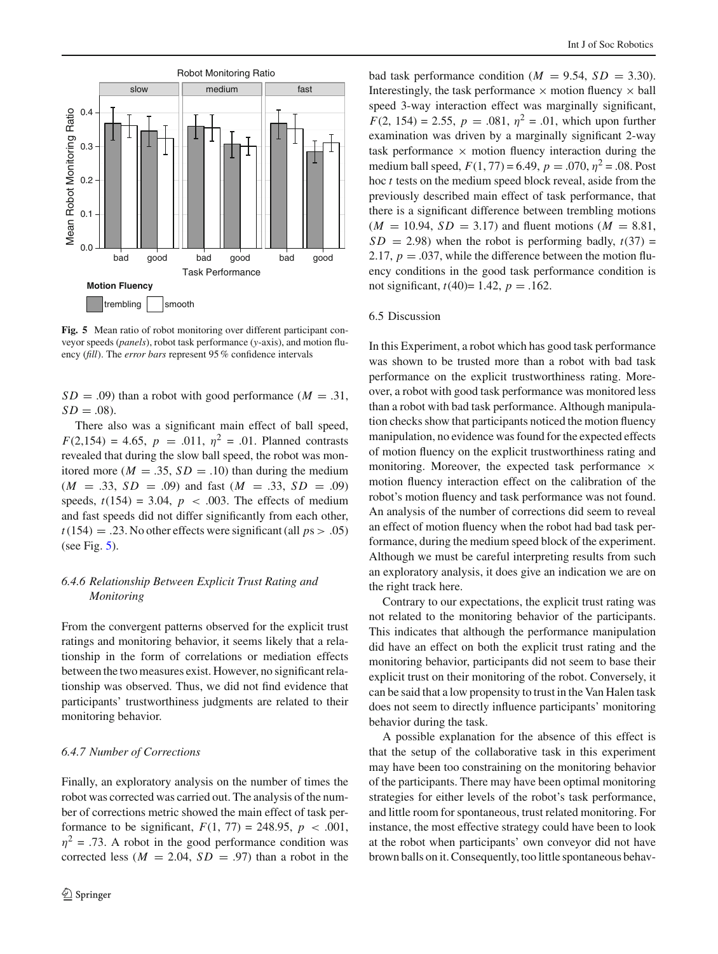

<span id="page-9-0"></span>**Fig. 5** Mean ratio of robot monitoring over different participant conveyor speeds (*panels*), robot task performance (*y*-axis), and motion fluency (*fill*). The *error bars* represent 95% confidence intervals

 $SD = .09$ ) than a robot with good performance ( $M = .31$ ,  $SD = .08$ ).

There also was a significant main effect of ball speed,  $F(2,154) = 4.65$ ,  $p = .011$ ,  $\eta^2 = .01$ . Planned contrasts revealed that during the slow ball speed, the robot was monitored more ( $M = .35$ ,  $SD = .10$ ) than during the medium  $(M = .33, SD = .09)$  and fast  $(M = .33, SD = .09)$ speeds,  $t(154) = 3.04$ ,  $p < .003$ . The effects of medium and fast speeds did not differ significantly from each other,  $t(154) = .23$ . No other effects were significant (all  $ps > .05$ ) (see Fig. [5\)](#page-9-0).

# *6.4.6 Relationship Between Explicit Trust Rating and Monitoring*

From the convergent patterns observed for the explicit trust ratings and monitoring behavior, it seems likely that a relationship in the form of correlations or mediation effects between the two measures exist. However, no significant relationship was observed. Thus, we did not find evidence that participants' trustworthiness judgments are related to their monitoring behavior.

## *6.4.7 Number of Corrections*

Finally, an exploratory analysis on the number of times the robot was corrected was carried out. The analysis of the number of corrections metric showed the main effect of task performance to be significant,  $F(1, 77) = 248.95$ ,  $p < .001$ ,  $\eta^2$  = .73. A robot in the good performance condition was corrected less ( $M = 2.04$ ,  $SD = .97$ ) than a robot in the

bad task performance condition ( $M = 9.54$ ,  $SD = 3.30$ ). Interestingly, the task performance  $\times$  motion fluency  $\times$  ball speed 3-way interaction effect was marginally significant,  $F(2, 154) = 2.55$ ,  $p = .081$ ,  $p^2 = .01$ , which upon further examination was driven by a marginally significant 2-way task performance  $\times$  motion fluency interaction during the medium ball speed,  $F(1, 77) = 6.49$ ,  $p = .070$ ,  $n^2 = .08$ . Post hoc *t* tests on the medium speed block reveal, aside from the previously described main effect of task performance, that there is a significant difference between trembling motions  $(M = 10.94, SD = 3.17)$  and fluent motions  $(M = 8.81,$  $SD = 2.98$ ) when the robot is performing badly,  $t(37) =$ 2.17,  $p = .037$ , while the difference between the motion fluency conditions in the good task performance condition is not significant,  $t(40)=1.42$ ,  $p=.162$ .

# 6.5 Discussion

In this Experiment, a robot which has good task performance was shown to be trusted more than a robot with bad task performance on the explicit trustworthiness rating. Moreover, a robot with good task performance was monitored less than a robot with bad task performance. Although manipulation checks show that participants noticed the motion fluency manipulation, no evidence was found for the expected effects of motion fluency on the explicit trustworthiness rating and monitoring. Moreover, the expected task performance  $\times$ motion fluency interaction effect on the calibration of the robot's motion fluency and task performance was not found. An analysis of the number of corrections did seem to reveal an effect of motion fluency when the robot had bad task performance, during the medium speed block of the experiment. Although we must be careful interpreting results from such an exploratory analysis, it does give an indication we are on the right track here.

Contrary to our expectations, the explicit trust rating was not related to the monitoring behavior of the participants. This indicates that although the performance manipulation did have an effect on both the explicit trust rating and the monitoring behavior, participants did not seem to base their explicit trust on their monitoring of the robot. Conversely, it can be said that a low propensity to trust in the Van Halen task does not seem to directly influence participants' monitoring behavior during the task.

A possible explanation for the absence of this effect is that the setup of the collaborative task in this experiment may have been too constraining on the monitoring behavior of the participants. There may have been optimal monitoring strategies for either levels of the robot's task performance, and little room for spontaneous, trust related monitoring. For instance, the most effective strategy could have been to look at the robot when participants' own conveyor did not have brown balls on it. Consequently, too little spontaneous behav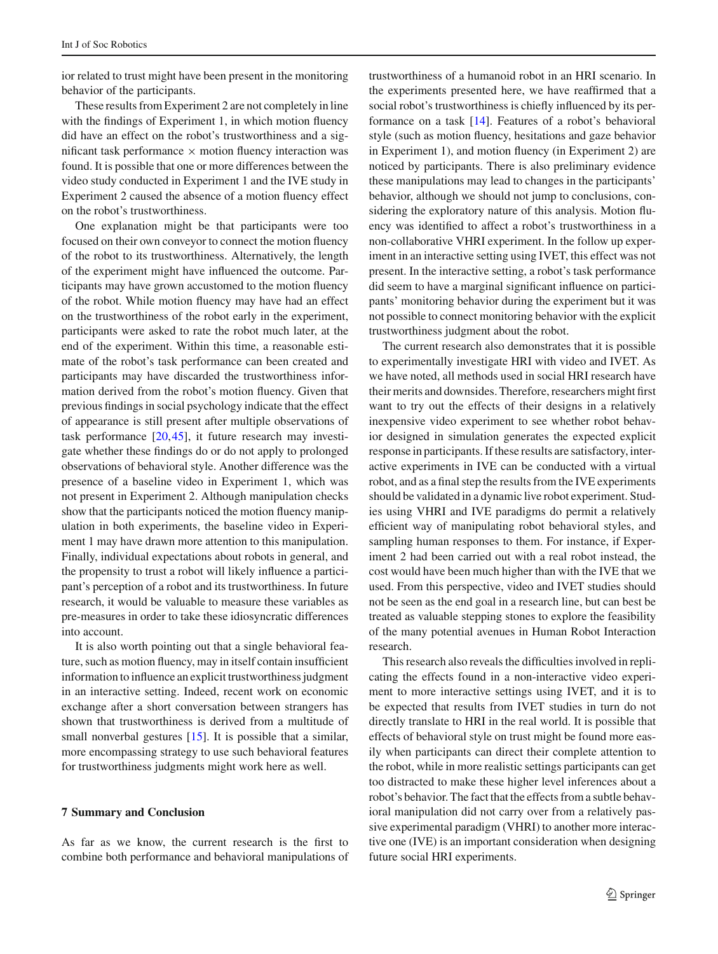ior related to trust might have been present in the monitoring behavior of the participants.

These results from Experiment 2 are not completely in line with the findings of Experiment 1, in which motion fluency did have an effect on the robot's trustworthiness and a significant task performance  $\times$  motion fluency interaction was found. It is possible that one or more differences between the video study conducted in Experiment 1 and the IVE study in Experiment 2 caused the absence of a motion fluency effect on the robot's trustworthiness.

One explanation might be that participants were too focused on their own conveyor to connect the motion fluency of the robot to its trustworthiness. Alternatively, the length of the experiment might have influenced the outcome. Participants may have grown accustomed to the motion fluency of the robot. While motion fluency may have had an effect on the trustworthiness of the robot early in the experiment, participants were asked to rate the robot much later, at the end of the experiment. Within this time, a reasonable estimate of the robot's task performance can been created and participants may have discarded the trustworthiness information derived from the robot's motion fluency. Given that previous findings in social psychology indicate that the effect of appearance is still present after multiple observations of task performance  $[20, 45]$  $[20, 45]$  $[20, 45]$ , it future research may investigate whether these findings do or do not apply to prolonged observations of behavioral style. Another difference was the presence of a baseline video in Experiment 1, which was not present in Experiment 2. Although manipulation checks show that the participants noticed the motion fluency manipulation in both experiments, the baseline video in Experiment 1 may have drawn more attention to this manipulation. Finally, individual expectations about robots in general, and the propensity to trust a robot will likely influence a participant's perception of a robot and its trustworthiness. In future research, it would be valuable to measure these variables as pre-measures in order to take these idiosyncratic differences into account.

It is also worth pointing out that a single behavioral feature, such as motion fluency, may in itself contain insufficient information to influence an explicit trustworthiness judgment in an interactive setting. Indeed, recent work on economic exchange after a short conversation between strangers has shown that trustworthiness is derived from a multitude of small nonverbal gestures [\[15](#page-11-13)]. It is possible that a similar, more encompassing strategy to use such behavioral features for trustworthiness judgments might work here as well.

# **7 Summary and Conclusion**

As far as we know, the current research is the first to combine both performance and behavioral manipulations of trustworthiness of a humanoid robot in an HRI scenario. In the experiments presented here, we have reaffirmed that a social robot's trustworthiness is chiefly influenced by its performance on a task [\[14](#page-11-12)]. Features of a robot's behavioral style (such as motion fluency, hesitations and gaze behavior in Experiment 1), and motion fluency (in Experiment 2) are noticed by participants. There is also preliminary evidence these manipulations may lead to changes in the participants' behavior, although we should not jump to conclusions, considering the exploratory nature of this analysis. Motion fluency was identified to affect a robot's trustworthiness in a non-collaborative VHRI experiment. In the follow up experiment in an interactive setting using IVET, this effect was not present. In the interactive setting, a robot's task performance did seem to have a marginal significant influence on participants' monitoring behavior during the experiment but it was not possible to connect monitoring behavior with the explicit trustworthiness judgment about the robot.

The current research also demonstrates that it is possible to experimentally investigate HRI with video and IVET. As we have noted, all methods used in social HRI research have their merits and downsides. Therefore, researchers might first want to try out the effects of their designs in a relatively inexpensive video experiment to see whether robot behavior designed in simulation generates the expected explicit response in participants. If these results are satisfactory, interactive experiments in IVE can be conducted with a virtual robot, and as a final step the results from the IVE experiments should be validated in a dynamic live robot experiment. Studies using VHRI and IVE paradigms do permit a relatively efficient way of manipulating robot behavioral styles, and sampling human responses to them. For instance, if Experiment 2 had been carried out with a real robot instead, the cost would have been much higher than with the IVE that we used. From this perspective, video and IVET studies should not be seen as the end goal in a research line, but can best be treated as valuable stepping stones to explore the feasibility of the many potential avenues in Human Robot Interaction research.

This research also reveals the difficulties involved in replicating the effects found in a non-interactive video experiment to more interactive settings using IVET, and it is to be expected that results from IVET studies in turn do not directly translate to HRI in the real world. It is possible that effects of behavioral style on trust might be found more easily when participants can direct their complete attention to the robot, while in more realistic settings participants can get too distracted to make these higher level inferences about a robot's behavior. The fact that the effects from a subtle behavioral manipulation did not carry over from a relatively passive experimental paradigm (VHRI) to another more interactive one (IVE) is an important consideration when designing future social HRI experiments.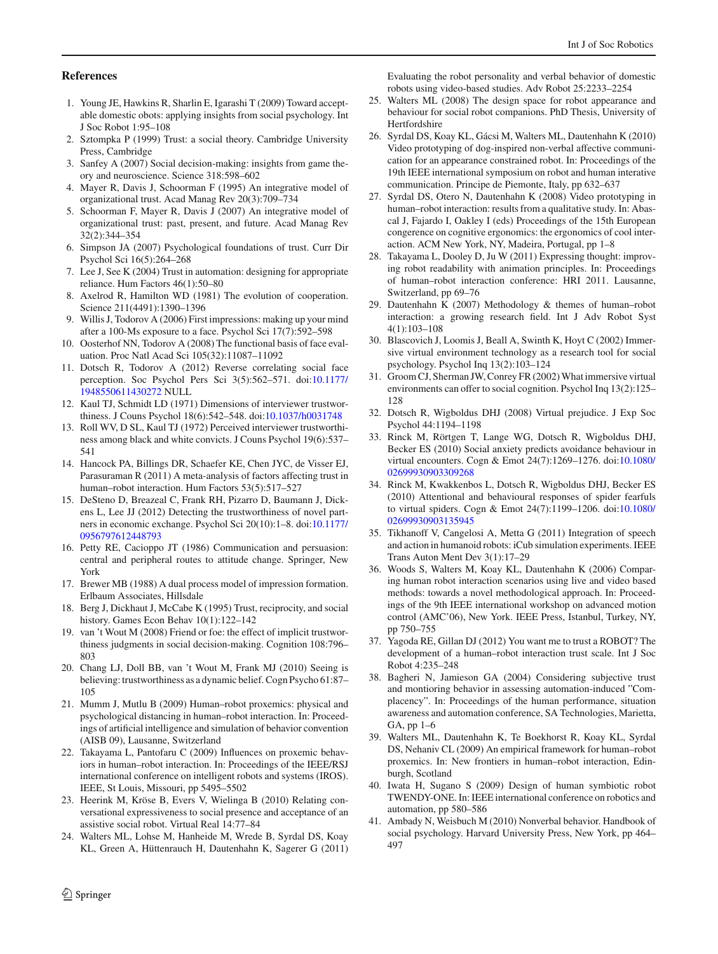#### <span id="page-11-0"></span>**References**

- 1. Young JE, Hawkins R, Sharlin E, Igarashi T (2009) Toward acceptable domestic obots: applying insights from social psychology. Int J Soc Robot 1:95–108
- <span id="page-11-1"></span>2. Sztompka P (1999) Trust: a social theory. Cambridge University Press, Cambridge
- <span id="page-11-2"></span>3. Sanfey A (2007) Social decision-making: insights from game theory and neuroscience. Science 318:598–602
- <span id="page-11-3"></span>4. Mayer R, Davis J, Schoorman F (1995) An integrative model of organizational trust. Acad Manag Rev 20(3):709–734
- <span id="page-11-4"></span>5. Schoorman F, Mayer R, Davis J (2007) An integrative model of organizational trust: past, present, and future. Acad Manag Rev 32(2):344–354
- <span id="page-11-5"></span>6. Simpson JA (2007) Psychological foundations of trust. Curr Dir Psychol Sci 16(5):264–268
- <span id="page-11-6"></span>7. Lee J, See K (2004) Trust in automation: designing for appropriate reliance. Hum Factors 46(1):50–80
- <span id="page-11-7"></span>8. Axelrod R, Hamilton WD (1981) The evolution of cooperation. Science 211(4491):1390–1396
- <span id="page-11-8"></span>9. Willis J, Todorov A (2006) First impressions: making up your mind after a 100-Ms exposure to a face. Psychol Sci 17(7):592–598
- 10. Oosterhof NN, Todorov A (2008) The functional basis of face evaluation. Proc Natl Acad Sci 105(32):11087–11092
- <span id="page-11-9"></span>11. Dotsch R, Todorov A (2012) Reverse correlating social face perception. Soc Psychol Pers Sci 3(5):562–571. doi[:10.1177/](http://dx.doi.org/10.1177/1948550611430272) [1948550611430272](http://dx.doi.org/10.1177/1948550611430272) NULL
- <span id="page-11-10"></span>12. Kaul TJ, Schmidt LD (1971) Dimensions of interviewer trustworthiness. J Couns Psychol 18(6):542–548. doi[:10.1037/h0031748](http://dx.doi.org/10.1037/h0031748)
- <span id="page-11-11"></span>13. Roll WV, D SL, Kaul TJ (1972) Perceived interviewer trustworthiness among black and white convicts. J Couns Psychol 19(6):537– 541
- <span id="page-11-12"></span>14. Hancock PA, Billings DR, Schaefer KE, Chen JYC, de Visser EJ, Parasuraman R (2011) A meta-analysis of factors affecting trust in human–robot interaction. Hum Factors 53(5):517–527
- <span id="page-11-13"></span>15. DeSteno D, Breazeal C, Frank RH, Pizarro D, Baumann J, Dickens L, Lee JJ (2012) Detecting the trustworthiness of novel partners in economic exchange. Psychol Sci 20(10):1–8. doi[:10.1177/](http://dx.doi.org/10.1177/0956797612448793) [0956797612448793](http://dx.doi.org/10.1177/0956797612448793)
- <span id="page-11-14"></span>16. Petty RE, Cacioppo JT (1986) Communication and persuasion: central and peripheral routes to attitude change. Springer, New York
- <span id="page-11-15"></span>17. Brewer MB (1988) A dual process model of impression formation. Erlbaum Associates, Hillsdale
- <span id="page-11-16"></span>18. Berg J, Dickhaut J, McCabe K (1995) Trust, reciprocity, and social history. Games Econ Behav 10(1):122–142
- <span id="page-11-17"></span>19. van 't Wout M (2008) Friend or foe: the effect of implicit trustworthiness judgments in social decision-making. Cognition 108:796– 803
- <span id="page-11-18"></span>20. Chang LJ, Doll BB, van 't Wout M, Frank MJ (2010) Seeing is believing: trustworthiness as a dynamic belief. Cogn Psycho 61:87– 105
- <span id="page-11-19"></span>21. Mumm J, Mutlu B (2009) Human–robot proxemics: physical and psychological distancing in human–robot interaction. In: Proceedings of artificial intelligence and simulation of behavior convention (AISB 09), Lausanne, Switzerland
- 22. Takayama L, Pantofaru C (2009) Influences on proxemic behaviors in human–robot interaction. In: Proceedings of the IEEE/RSJ international conference on intelligent robots and systems (IROS). IEEE, St Louis, Missouri, pp 5495–5502
- <span id="page-11-20"></span>23. Heerink M, Kröse B, Evers V, Wielinga B (2010) Relating conversational expressiveness to social presence and acceptance of an assistive social robot. Virtual Real 14:77–84
- <span id="page-11-21"></span>24. Walters ML, Lohse M, Hanheide M, Wrede B, Syrdal DS, Koay KL, Green A, Hüttenrauch H, Dautenhahn K, Sagerer G (2011)

Evaluating the robot personality and verbal behavior of domestic robots using video-based studies. Adv Robot 25:2233–2254

- 25. Walters ML (2008) The design space for robot appearance and behaviour for social robot companions. PhD Thesis, University of Hertfordshire
- 26. Syrdal DS, Koay KL, Gácsi M, Walters ML, Dautenhahn K (2010) Video prototyping of dog-inspired non-verbal affective communication for an appearance constrained robot. In: Proceedings of the 19th IEEE international symposium on robot and human interative communication. Principe de Piemonte, Italy, pp 632–637
- 27. Syrdal DS, Otero N, Dautenhahn K (2008) Video prototyping in human–robot interaction: results from a qualitative study. In: Abascal J, Fajardo I, Oakley I (eds) Proceedings of the 15th European congerence on cognitive ergonomics: the ergonomics of cool interaction. ACM New York, NY, Madeira, Portugal, pp 1–8
- <span id="page-11-22"></span>28. Takayama L, Dooley D, Ju W (2011) Expressing thought: improving robot readability with animation principles. In: Proceedings of human–robot interaction conference: HRI 2011. Lausanne, Switzerland, pp 69–76
- <span id="page-11-23"></span>29. Dautenhahn K (2007) Methodology & themes of human–robot interaction: a growing research field. Int J Adv Robot Syst 4(1):103–108
- <span id="page-11-24"></span>30. Blascovich J, Loomis J, Beall A, Swinth K, Hoyt C (2002) Immersive virtual environment technology as a research tool for social psychology. Psychol Inq 13(2):103–124
- <span id="page-11-25"></span>31. Groom CJ, Sherman JW, Conrey FR (2002) What immersive virtual environments can offer to social cognition. Psychol Inq 13(2):125– 128
- <span id="page-11-26"></span>32. Dotsch R, Wigboldus DHJ (2008) Virtual prejudice. J Exp Soc Psychol 44:1194–1198
- 33. Rinck M, Rörtgen T, Lange WG, Dotsch R, Wigboldus DHJ, Becker ES (2010) Social anxiety predicts avoidance behaviour in virtual encounters. Cogn & Emot 24(7):1269–1276. doi[:10.1080/](http://dx.doi.org/10.1080/02699930903309268) [02699930903309268](http://dx.doi.org/10.1080/02699930903309268)
- <span id="page-11-27"></span>34. Rinck M, Kwakkenbos L, Dotsch R, Wigboldus DHJ, Becker ES (2010) Attentional and behavioural responses of spider fearfuls to virtual spiders. Cogn & Emot 24(7):1199–1206. doi[:10.1080/](http://dx.doi.org/10.1080/02699930903135945) [02699930903135945](http://dx.doi.org/10.1080/02699930903135945)
- <span id="page-11-28"></span>35. Tikhanoff V, Cangelosi A, Metta G (2011) Integration of speech and action in humanoid robots: iCub simulation experiments. IEEE Trans Auton Ment Dev 3(1):17–29
- <span id="page-11-29"></span>36. Woods S, Walters M, Koay KL, Dautenhahn K (2006) Comparing human robot interaction scenarios using live and video based methods: towards a novel methodological approach. In: Proceedings of the 9th IEEE international workshop on advanced motion control (AMC'06), New York. IEEE Press, Istanbul, Turkey, NY, pp 750–755
- <span id="page-11-30"></span>37. Yagoda RE, Gillan DJ (2012) You want me to trust a ROBOT? The development of a human–robot interaction trust scale. Int J Soc Robot 4:235–248
- <span id="page-11-31"></span>38. Bagheri N, Jamieson GA (2004) Considering subjective trust and montioring behavior in assessing automation-induced "Complacency". In: Proceedings of the human performance, situation awareness and automation conference, SA Technologies, Marietta, GA, pp 1–6
- <span id="page-11-32"></span>39. Walters ML, Dautenhahn K, Te Boekhorst R, Koay KL, Syrdal DS, Nehaniv CL (2009) An empirical framework for human–robot proxemics. In: New frontiers in human–robot interaction, Edinburgh, Scotland
- <span id="page-11-33"></span>40. Iwata H, Sugano S (2009) Design of human symbiotic robot TWENDY-ONE. In: IEEE international conference on robotics and automation, pp 580–586
- <span id="page-11-34"></span>41. Ambady N, Weisbuch M (2010) Nonverbal behavior. Handbook of social psychology. Harvard University Press, New York, pp 464– 497